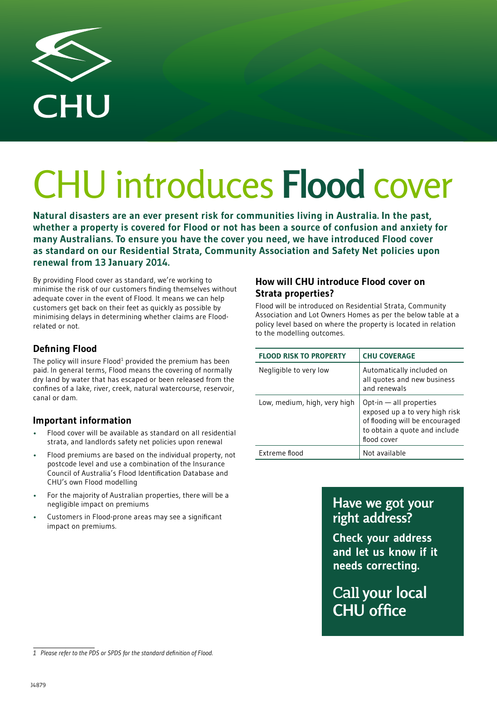

# CHU introduces **Flood** cover

**Natural disasters are an ever present risk for communities living in Australia. In the past, whether a property is covered for Flood or not has been a source of confusion and anxiety for many Australians. To ensure you have the cover you need, we have introduced Flood cover as standard on our Residential Strata, Community Association and Safety Net policies upon renewal from 13 January 2014.**

By providing Flood cover as standard, we're working to minimise the risk of our customers finding themselves without adequate cover in the event of Flood. It means we can help customers get back on their feet as quickly as possible by minimising delays in determining whether claims are Floodrelated or not.

### **Defining Flood**

The policy will insure  $F$ lood<sup>1</sup> provided the premium has been paid. In general terms, Flood means the covering of normally dry land by water that has escaped or been released from the confines of a lake, river, creek, natural watercourse, reservoir, canal or dam.

### **Important information**

- Flood cover will be available as standard on all residential strata, and landlords safety net policies upon renewal
- Flood premiums are based on the individual property, not postcode level and use a combination of the Insurance Council of Australia's Flood Identification Database and CHU's own Flood modelling
- For the majority of Australian properties, there will be a negligible impact on premiums
- Customers in Flood-prone areas may see a significant impact on premiums.

### **How will CHU introduce Flood cover on Strata properties?**

Flood will be introduced on Residential Strata, Community Association and Lot Owners Homes as per the below table at a policy level based on where the property is located in relation to the modelling outcomes.

| <b>FLOOD RISK TO PROPERTY</b> | <b>CHU COVERAGE</b>                                                                                                                         |
|-------------------------------|---------------------------------------------------------------------------------------------------------------------------------------------|
| Negligible to very low        | Automatically included on<br>all quotes and new business<br>and renewals                                                                    |
| Low, medium, high, very high  | Opt-in - all properties<br>exposed up a to very high risk<br>of flooding will be encouraged<br>to obtain a quote and include<br>flood cover |
| Extreme flood                 | Not available                                                                                                                               |

### **Have we got your right address?**

**Check your address and let us know if it needs correcting.**

Call **your local CHU office**

*<sup>1</sup> Please refer to the PDS or SPDS for the standard definition of Flood.*